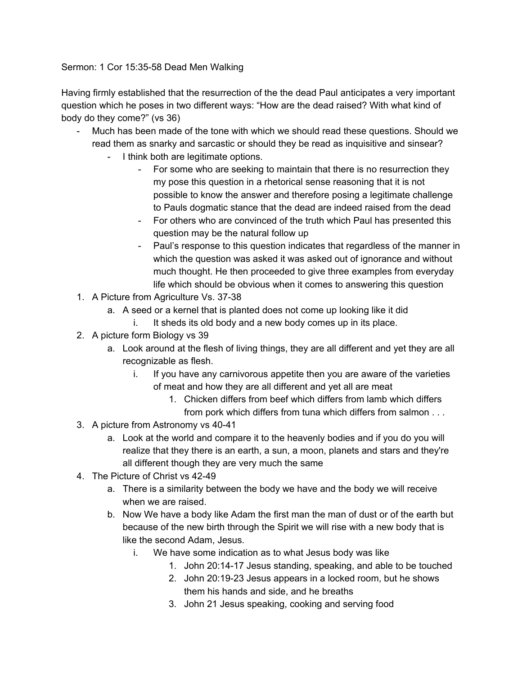Sermon: 1 Cor 15:35-58 Dead Men Walking

Having firmly established that the resurrection of the the dead Paul anticipates a very important question which he poses in two different ways: "How are the dead raised? With what kind of body do they come?" (vs 36)

- Much has been made of the tone with which we should read these questions. Should we read them as snarky and sarcastic or should they be read as inquisitive and sinsear?
	- I think both are legitimate options.
		- For some who are seeking to maintain that there is no resurrection they my pose this question in a rhetorical sense reasoning that it is not possible to know the answer and therefore posing a legitimate challenge to Pauls dogmatic stance that the dead are indeed raised from the dead
		- For others who are convinced of the truth which Paul has presented this question may be the natural follow up
		- Paul's response to this question indicates that regardless of the manner in which the question was asked it was asked out of ignorance and without much thought. He then proceeded to give three examples from everyday life which should be obvious when it comes to answering this question
- 1. A Picture from Agriculture Vs. 37-38
	- a. A seed or a kernel that is planted does not come up looking like it did
		- i. It sheds its old body and a new body comes up in its place.
- 2. A picture form Biology vs 39
	- a. Look around at the flesh of living things, they are all different and yet they are all recognizable as flesh.
		- i. If you have any carnivorous appetite then you are aware of the varieties of meat and how they are all different and yet all are meat
			- 1. Chicken differs from beef which differs from lamb which differs from pork which differs from tuna which differs from salmon . . .
- 3. A picture from Astronomy vs 40-41
	- a. Look at the world and compare it to the heavenly bodies and if you do you will realize that they there is an earth, a sun, a moon, planets and stars and they're all different though they are very much the same
- 4. The Picture of Christ vs 42-49
	- a. There is a similarity between the body we have and the body we will receive when we are raised.
	- b. Now We have a body like Adam the first man the man of dust or of the earth but because of the new birth through the Spirit we will rise with a new body that is like the second Adam, Jesus.
		- i. We have some indication as to what Jesus body was like
			- 1. John 20:14-17 Jesus standing, speaking, and able to be touched
			- 2. John 20:19-23 Jesus appears in a locked room, but he shows them his hands and side, and he breaths
			- 3. John 21 Jesus speaking, cooking and serving food